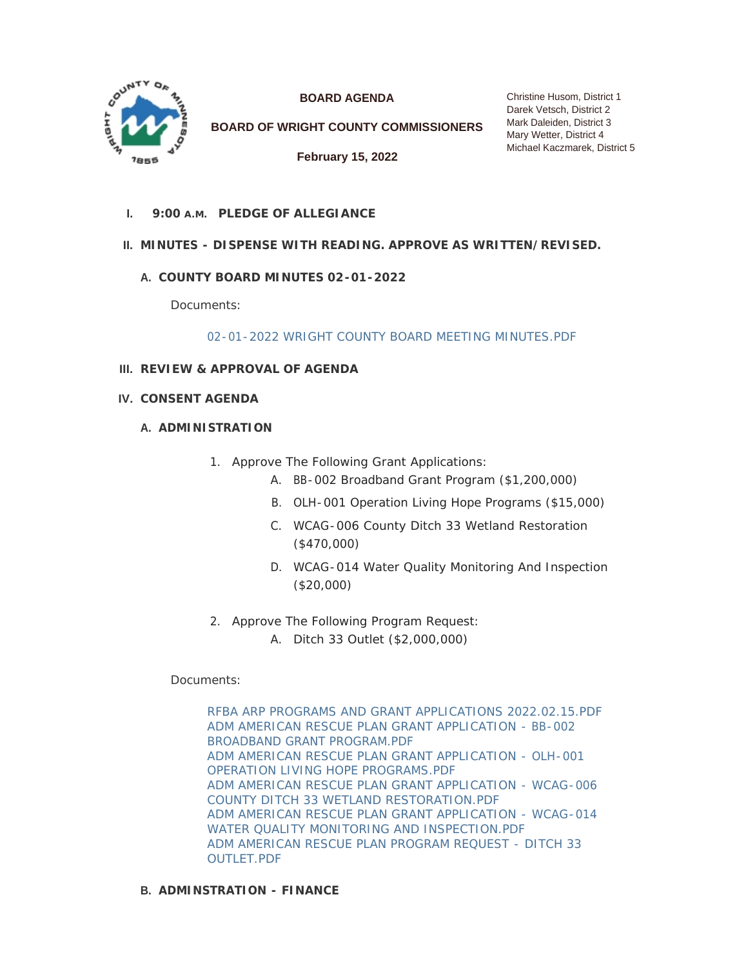

**BOARD AGENDA**

**BOARD OF WRIGHT COUNTY COMMISSIONERS**

**February 15, 2022**

**PLEDGE OF ALLEGIANCE I. 9:00 A.M.**

# **MINUTES - DISPENSE WITH READING. APPROVE AS WRITTEN/REVISED. II.**

# **COUNTY BOARD MINUTES 02-01-2022 A.**

Documents:

[02-01-2022 WRIGHT COUNTY BOARD MEETING MINUTES.PDF](https://www.co.wright.mn.us/AgendaCenter/ViewFile/Item/10314?fileID=22132)

- **REVIEW & APPROVAL OF AGENDA III.**
- **CONSENT AGENDA IV.**

### **A. ADMINISTRATION**

- 1. Approve The Following Grant Applications:
	- A. BB-002 Broadband Grant Program (\$1,200,000)
	- B. OLH-001 Operation Living Hope Programs (\$15,000)
	- C. WCAG-006 County Ditch 33 Wetland Restoration (\$470,000)
	- D. WCAG-014 Water Quality Monitoring And Inspection (\$20,000)
- 2. Approve The Following Program Request:
	- A. Ditch 33 Outlet (\$2,000,000)

# Documents:

[RFBA ARP PROGRAMS AND GRANT APPLICATIONS 2022.02.15.PDF](https://www.co.wright.mn.us/AgendaCenter/ViewFile/Item/10348?fileID=22171) [ADM AMERICAN RESCUE PLAN GRANT APPLICATION - BB-002](https://www.co.wright.mn.us/AgendaCenter/ViewFile/Item/10348?fileID=22176)  BROADBAND GRANT PROGRAM.PDF [ADM AMERICAN RESCUE PLAN GRANT APPLICATION - OLH-001](https://www.co.wright.mn.us/AgendaCenter/ViewFile/Item/10348?fileID=22175)  OPERATION LIVING HOPE PROGRAMS.PDF [ADM AMERICAN RESCUE PLAN GRANT APPLICATION - WCAG-006](https://www.co.wright.mn.us/AgendaCenter/ViewFile/Item/10348?fileID=22174)  COUNTY DITCH 33 WETLAND RESTORATION.PDF [ADM AMERICAN RESCUE PLAN GRANT APPLICATION - WCAG-014](https://www.co.wright.mn.us/AgendaCenter/ViewFile/Item/10348?fileID=22173)  WATER QUALITY MONITORING AND INSPECTION.PDF [ADM AMERICAN RESCUE PLAN PROGRAM REQUEST - DITCH 33](https://www.co.wright.mn.us/AgendaCenter/ViewFile/Item/10348?fileID=22172)  OUTLET.PDF

# **ADMINSTRATION - FINANCE B.**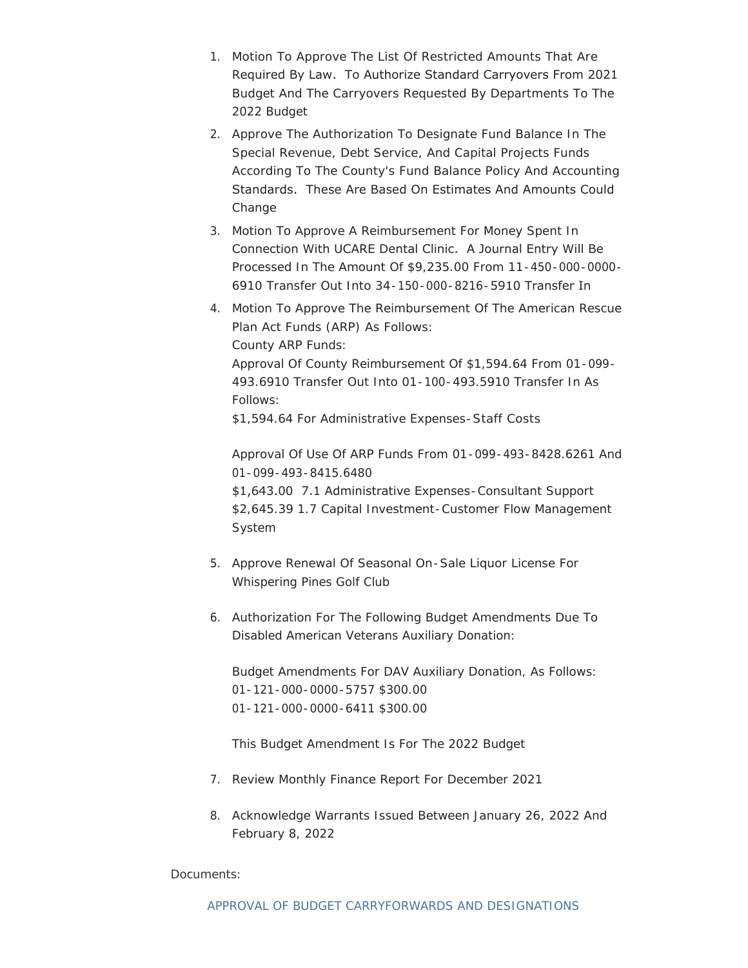- 1. Motion To Approve The List Of Restricted Amounts That Are Required By Law. To Authorize Standard Carryovers From 2021 Budget And The Carryovers Requested By Departments To The 2022 Budget
- 2. Approve The Authorization To Designate Fund Balance In The Special Revenue, Debt Service, And Capital Projects Funds According To The County's Fund Balance Policy And Accounting Standards. These Are Based On Estimates And Amounts Could Change
- 3. Motion To Approve A Reimbursement For Money Spent In Connection With UCARE Dental Clinic. A Journal Entry Will Be Processed In The Amount Of \$9,235.00 From 11-450-000-0000- 6910 Transfer Out Into 34-150-000-8216-5910 Transfer In
- 4. Motion To Approve The Reimbursement Of The American Rescue Plan Act Funds (ARP) As Follows: County ARP Funds: Approval Of County Reimbursement Of \$1,594.64 From 01-099- 493.6910 Transfer Out Into 01-100-493.5910 Transfer In As Follows: \$1,594.64 For Administrative Expenses-Staff Costs

Approval Of Use Of ARP Funds From 01-099-493-8428.6261 And 01-099-493-8415.6480

\$1,643.00 7.1 Administrative Expenses-Consultant Support \$2,645.39 1.7 Capital Investment-Customer Flow Management System

- 5. Approve Renewal Of Seasonal On-Sale Liquor License For Whispering Pines Golf Club
- 6. Authorization For The Following Budget Amendments Due To Disabled American Veterans Auxiliary Donation:

Budget Amendments For DAV Auxiliary Donation, As Follows: 01-121-000-0000-5757 \$300.00 01-121-000-0000-6411 \$300.00

This Budget Amendment Is For The 2022 Budget

- 7. Review Monthly Finance Report For December 2021
- 8. Acknowledge Warrants Issued Between January 26, 2022 And February 8, 2022

# Documents: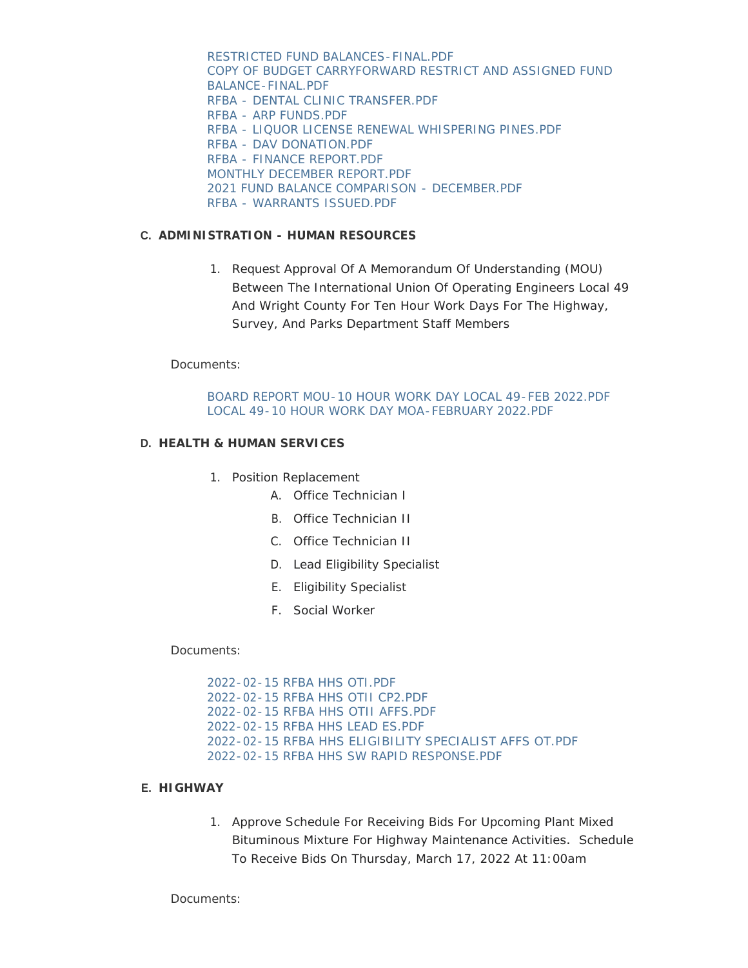RESTRICTED FUND BALANCES-FINAL.PDF [COPY OF BUDGET CARRYFORWARD RESTRICT AND ASSIGNED FUND](https://www.co.wright.mn.us/AgendaCenter/ViewFile/Item/10307?fileID=21969)  BALANCE-FINAL.PDF [RFBA - DENTAL CLINIC TRANSFER.PDF](https://www.co.wright.mn.us/AgendaCenter/ViewFile/Item/10307?fileID=22133) [RFBA - ARP FUNDS.PDF](https://www.co.wright.mn.us/AgendaCenter/ViewFile/Item/10307?fileID=22134) [RFBA - LIQUOR LICENSE RENEWAL WHISPERING PINES.PDF](https://www.co.wright.mn.us/AgendaCenter/ViewFile/Item/10307?fileID=22135) [RFBA - DAV DONATION.PDF](https://www.co.wright.mn.us/AgendaCenter/ViewFile/Item/10307?fileID=22184) [RFBA - FINANCE REPORT.PDF](https://www.co.wright.mn.us/AgendaCenter/ViewFile/Item/10307?fileID=22187) [MONTHLY DECEMBER REPORT.PDF](https://www.co.wright.mn.us/AgendaCenter/ViewFile/Item/10307?fileID=22186) [2021 FUND BALANCE COMPARISON - DECEMBER.PDF](https://www.co.wright.mn.us/AgendaCenter/ViewFile/Item/10307?fileID=22185) [RFBA - WARRANTS ISSUED.PDF](https://www.co.wright.mn.us/AgendaCenter/ViewFile/Item/10307?fileID=22183)

### **ADMINISTRATION - HUMAN RESOURCES C.**

1. Request Approval Of A Memorandum Of Understanding (MOU) Between The International Union Of Operating Engineers Local 49 And Wright County For Ten Hour Work Days For The Highway, Survey, And Parks Department Staff Members

Documents:

[BOARD REPORT MOU-10 HOUR WORK DAY LOCAL 49-FEB 2022.PDF](https://www.co.wright.mn.us/AgendaCenter/ViewFile/Item/10320?fileID=22147) [LOCAL 49-10 HOUR WORK DAY MOA-FEBRUARY 2022.PDF](https://www.co.wright.mn.us/AgendaCenter/ViewFile/Item/10320?fileID=22148)

#### **HEALTH & HUMAN SERVICES D.**

- 1. Position Replacement
	- A. Office Technician I
	- B. Office Technician II
	- C. Office Technician II
	- D. Lead Eligibility Specialist
	- E. Eligibility Specialist
	- F. Social Worker

Documents:

[2022-02-15 RFBA HHS OTI.PDF](https://www.co.wright.mn.us/AgendaCenter/ViewFile/Item/10306?fileID=22131) [2022-02-15 RFBA HHS OTII CP2.PDF](https://www.co.wright.mn.us/AgendaCenter/ViewFile/Item/10306?fileID=21899) [2022-02-15 RFBA HHS OTII AFFS.PDF](https://www.co.wright.mn.us/AgendaCenter/ViewFile/Item/10306?fileID=21905) [2022-02-15 RFBA HHS LEAD ES.PDF](https://www.co.wright.mn.us/AgendaCenter/ViewFile/Item/10306?fileID=21904) [2022-02-15 RFBA HHS ELIGIBILITY SPECIALIST AFFS OT.PDF](https://www.co.wright.mn.us/AgendaCenter/ViewFile/Item/10306?fileID=21903) [2022-02-15 RFBA HHS SW RAPID RESPONSE.PDF](https://www.co.wright.mn.us/AgendaCenter/ViewFile/Item/10306?fileID=22156)

### **HIGHWAY E.**

1. Approve Schedule For Receiving Bids For Upcoming Plant Mixed Bituminous Mixture For Highway Maintenance Activities. Schedule To Receive Bids On Thursday, March 17, 2022 At 11:00am

Documents: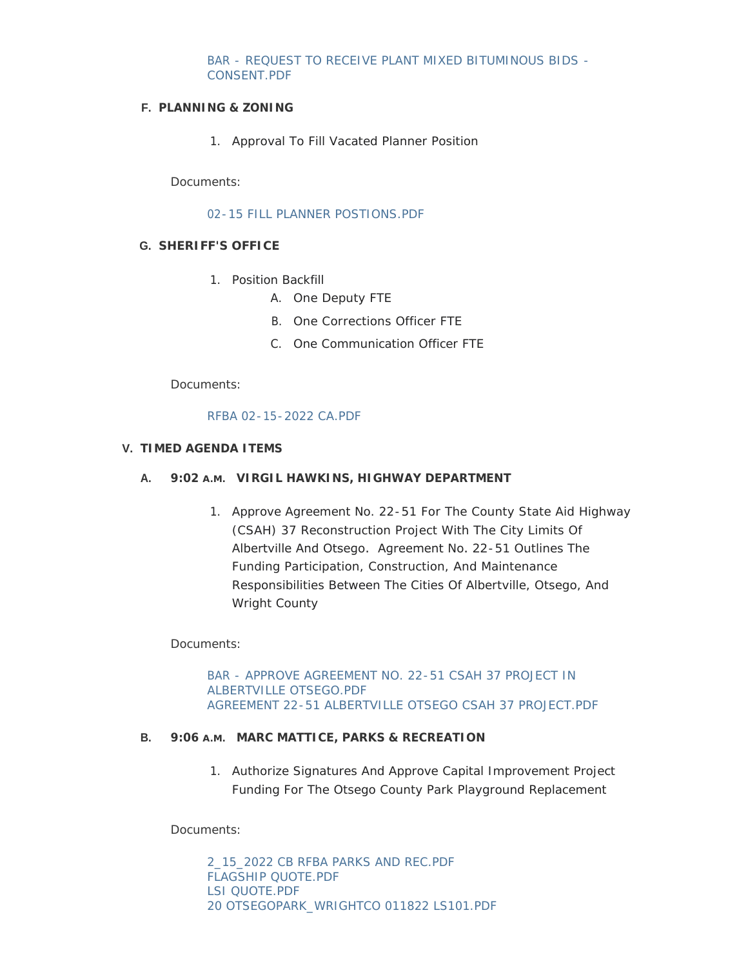### [BAR - REQUEST TO RECEIVE PLANT MIXED BITUMINOUS BIDS -](https://www.co.wright.mn.us/AgendaCenter/ViewFile/Item/10321?fileID=22149) CONSENT.PDF

### **PLANNING & ZONING F.**

1. Approval To Fill Vacated Planner Position

Documents:

[02-15 FILL PLANNER POSTIONS.PDF](https://www.co.wright.mn.us/AgendaCenter/ViewFile/Item/10325?fileID=22157)

### **SHERIFF'S OFFICE G.**

- 1. Position Backfill
	- A. One Deputy FTE
	- B. One Corrections Officer FTE
	- C. One Communication Officer FTE

Documents:

### [RFBA 02-15-2022 CA.PDF](https://www.co.wright.mn.us/AgendaCenter/ViewFile/Item/10323?fileID=22152)

### **TIMED AGENDA ITEMS V.**

### **VIRGIL HAWKINS, HIGHWAY DEPARTMENT A. 9:02 A.M.**

1. Approve Agreement No. 22-51 For The County State Aid Highway (CSAH) 37 Reconstruction Project With The City Limits Of Albertville And Otsego. Agreement No. 22-51 Outlines The Funding Participation, Construction, And Maintenance Responsibilities Between The Cities Of Albertville, Otsego, And Wright County

Documents:

[BAR - APPROVE AGREEMENT NO. 22-51 CSAH 37 PROJECT IN](https://www.co.wright.mn.us/AgendaCenter/ViewFile/Item/10322?fileID=22150)  ALBERTVILLE OTSEGO.PDF [AGREEMENT 22-51 ALBERTVILLE OTSEGO CSAH 37 PROJECT.PDF](https://www.co.wright.mn.us/AgendaCenter/ViewFile/Item/10322?fileID=22151)

### **B.** 9:06 A.M. MARC MATTICE, PARKS & RECREATION

1. Authorize Signatures And Approve Capital Improvement Project Funding For The Otsego County Park Playground Replacement

Documents:

[2\\_15\\_2022 CB RFBA PARKS AND REC.PDF](https://www.co.wright.mn.us/AgendaCenter/ViewFile/Item/10313?fileID=22013) [FLAGSHIP QUOTE.PDF](https://www.co.wright.mn.us/AgendaCenter/ViewFile/Item/10313?fileID=22014) [LSI QUOTE.PDF](https://www.co.wright.mn.us/AgendaCenter/ViewFile/Item/10313?fileID=22015) [20 OTSEGOPARK\\_WRIGHTCO 011822 LS101.PDF](https://www.co.wright.mn.us/AgendaCenter/ViewFile/Item/10313?fileID=22016)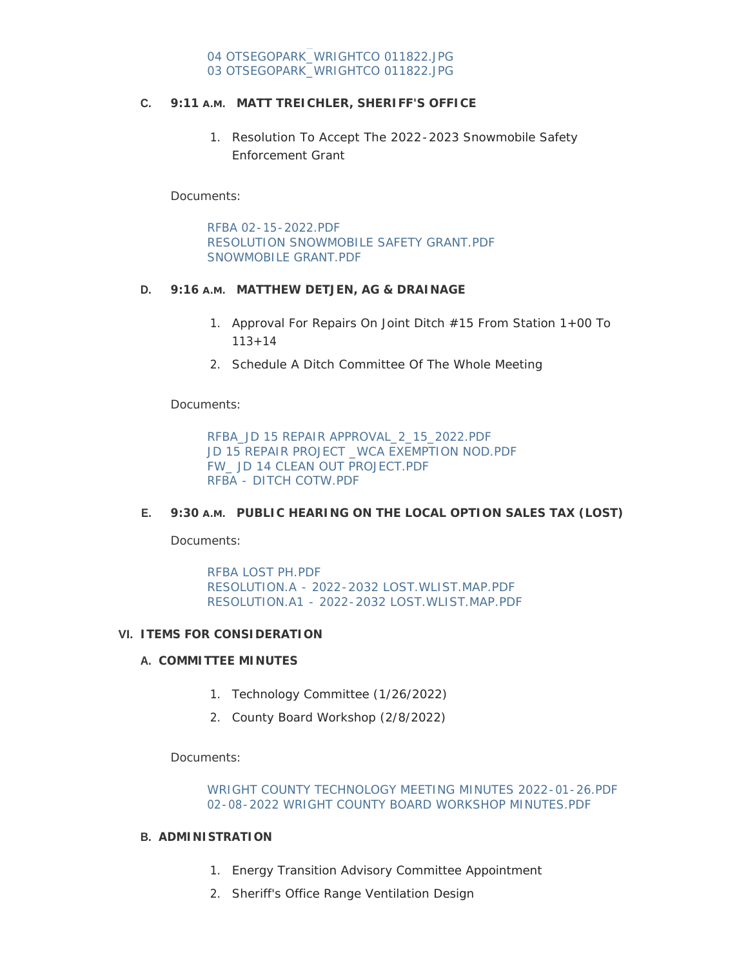# **MATT TREICHLER, SHERIFF'S OFFICE C. 9:11 A.M.**

1. Resolution To Accept The 2022-2023 Snowmobile Safety Enforcement Grant

Documents:

[RFBA 02-15-2022.PDF](https://www.co.wright.mn.us/AgendaCenter/ViewFile/Item/10324?fileID=22153) [RESOLUTION SNOWMOBILE SAFETY GRANT.PDF](https://www.co.wright.mn.us/AgendaCenter/ViewFile/Item/10324?fileID=22154) [SNOWMOBILE GRANT.PDF](https://www.co.wright.mn.us/AgendaCenter/ViewFile/Item/10324?fileID=22155)

### **MATTHEW DETJEN, AG & DRAINAGE D. 9:16 A.M.**

- 1. Approval For Repairs On Joint Ditch #15 From Station 1+00 To  $113 + 14$
- 2. Schedule A Ditch Committee Of The Whole Meeting

Documents:

[RFBA\\_JD 15 REPAIR APPROVAL\\_2\\_15\\_2022.PDF](https://www.co.wright.mn.us/AgendaCenter/ViewFile/Item/10318?fileID=22141) JD 15 REPAIR PROJECT WCA EXEMPTION NOD.PDF [FW\\_ JD 14 CLEAN OUT PROJECT.PDF](https://www.co.wright.mn.us/AgendaCenter/ViewFile/Item/10318?fileID=22143) [RFBA - DITCH COTW.PDF](https://www.co.wright.mn.us/AgendaCenter/ViewFile/Item/10318?fileID=22182)

### **E.** 9:30 A.M. PUBLIC HEARING ON THE LOCAL OPTION SALES TAX (LOST)

Documents:

[RFBA LOST PH.PDF](https://www.co.wright.mn.us/AgendaCenter/ViewFile/Item/10297?fileID=22164) [RESOLUTION.A - 2022-2032 LOST.WLIST.MAP.PDF](https://www.co.wright.mn.us/AgendaCenter/ViewFile/Item/10297?fileID=22162) [RESOLUTION.A1 - 2022-2032 LOST.WLIST.MAP.PDF](https://www.co.wright.mn.us/AgendaCenter/ViewFile/Item/10297?fileID=22163)

#### **ITEMS FOR CONSIDERATION VI.**

#### **COMMITTEE MINUTES A.**

- 1. Technology Committee (1/26/2022)
- 2. County Board Workshop (2/8/2022)

Documents:

[WRIGHT COUNTY TECHNOLOGY MEETING MINUTES 2022-01-26.PDF](https://www.co.wright.mn.us/AgendaCenter/ViewFile/Item/10311?fileID=21971) [02-08-2022 WRIGHT COUNTY BOARD WORKSHOP MINUTES.PDF](https://www.co.wright.mn.us/AgendaCenter/ViewFile/Item/10311?fileID=22179)

#### **ADMINISTRATION B.**

- 1. Energy Transition Advisory Committee Appointment
- 2. Sheriff's Office Range Ventilation Design